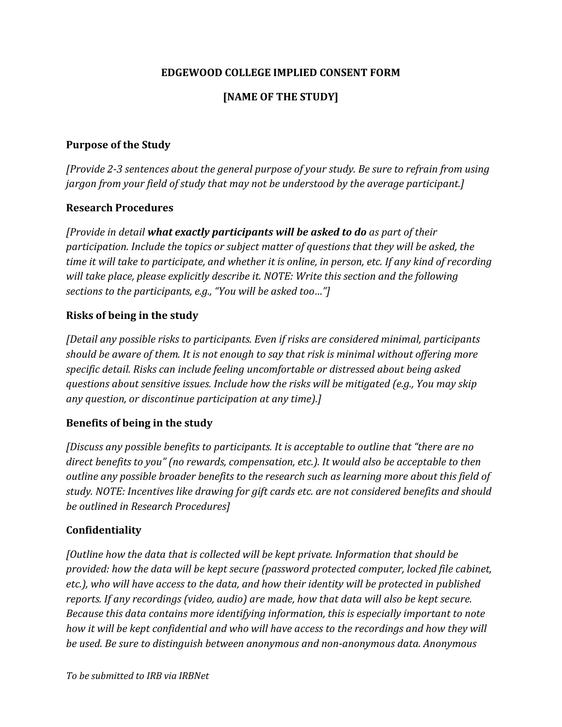### **EDGEWOOD COLLEGE IMPLIED CONSENT FORM**

## **[NAME OF THE STUDY]**

#### **Purpose of the Study**

*[Provide 2-3 sentences about the general purpose of your study. Be sure to refrain from using jargon from your field of study that may not be understood by the average participant.]*

#### **Research Procedures**

*[Provide in detail what exactly participants will be asked to do as part of their participation. Include the topics or subject matter of questions that they will be asked, the time it will take to participate, and whether it is online, in person, etc. If any kind of recording will take place, please explicitly describe it. NOTE: Write this section and the following sections to the participants, e.g., "You will be asked too…"]*

#### **Risks of being in the study**

*[Detail any possible risks to participants. Even if risks are considered minimal, participants should be aware of them. It is not enough to say that risk is minimal without offering more specific detail. Risks can include feeling uncomfortable or distressed about being asked questions about sensitive issues. Include how the risks will be mitigated (e.g., You may skip any question, or discontinue participation at any time).]*

### **Benefits of being in the study**

*[Discuss any possible benefits to participants. It is acceptable to outline that "there are no direct benefits to you" (no rewards, compensation, etc.). It would also be acceptable to then outline any possible broader benefits to the research such as learning more about this field of study. NOTE: Incentives like drawing for gift cards etc. are not considered benefits and should be outlined in Research Procedures]*

### **Confidentiality**

*[Outline how the data that is collected will be kept private. Information that should be provided: how the data will be kept secure (password protected computer, locked file cabinet, etc.), who will have access to the data, and how their identity will be protected in published reports. If any recordings (video, audio) are made, how that data will also be kept secure. Because this data contains more identifying information, this is especially important to note how it will be kept confidential and who will have access to the recordings and how they will be used. Be sure to distinguish between anonymous and non-anonymous data. Anonymous*